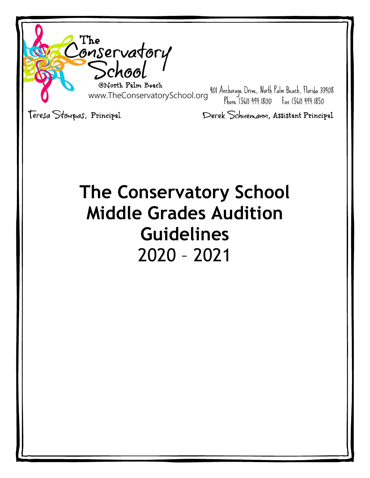

# **The Conservatory School Middle Grades Audition Guidelines** 2020 – 2021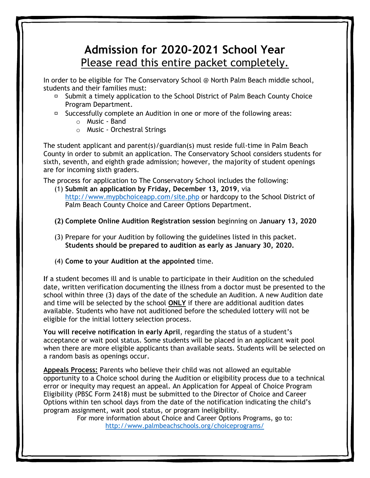## **Admission for 2020-2021 School Year** Please read this entire packet completely.

In order to be eligible for The Conservatory School @ North Palm Beach middle school, students and their families must:

- □ Submit a timely application to the School District of Palm Beach County Choice Program Department.
- $\Box$  Successfully complete an Audition in one or more of the following areas:
	- o Music Band
	- o Music Orchestral Strings

The student applicant and parent(s)/guardian(s) must reside full-time in Palm Beach County in order to submit an application. The Conservatory School considers students for sixth, seventh, and eighth grade admission; however, the majority of student openings are for incoming sixth graders.

The process for application to The Conservatory School includes the following:

- (1) **Submit an application by Friday, December 13, 2019**, via <http://www.mypbchoiceapp.com/site.php> or hardcopy to the School District of Palm Beach County Choice and Career Options Department.
- **(2) Complete Online Audition Registration session** beginning on **January 13, 2020**
- (3) Prepare for your Audition by following the guidelines listed in this packet. **Students should be prepared to audition as early as January 30, 2020.**
- (4) **Come to your Audition at the appointed** time.

**I**f a student becomes ill and is unable to participate in their Audition on the scheduled date, written verification documenting the illness from a doctor must be presented to the school within three (3) days of the date of the schedule an Audition. A new Audition date and time will be selected by the school **ONLY** if there are additional audition dates available. Students who have not auditioned before the scheduled lottery will not be eligible for the initial lottery selection process.

**You will receive notification in early April**, regarding the status of a student's acceptance or wait pool status. Some students will be placed in an applicant wait pool when there are more eligible applicants than available seats. Students will be selected on a random basis as openings occur.

**Appeals Process:** Parents who believe their child was not allowed an equitable opportunity to a Choice school during the Audition or eligibility process due to a technical error or inequity may request an appeal. An Application for Appeal of Choice Program Eligibility (PBSC Form 2418) must be submitted to the Director of Choice and Career Options within ten school days from the date of the notification indicating the child's program assignment, wait pool status, or program ineligibility.

For more information about Choice and Career Options Programs, go to: <http://www.palmbeachschools.org/choiceprograms/>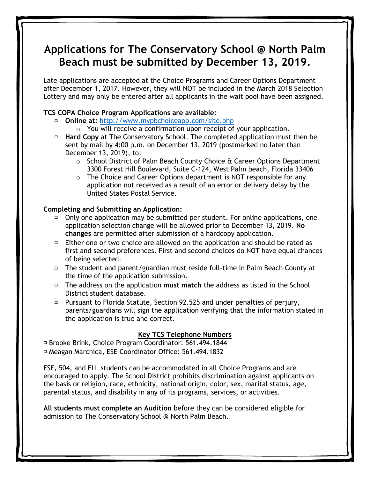## **Applications for The Conservatory School @ North Palm Beach must be submitted by December 13, 2019.**

Late applications are accepted at the Choice Programs and Career Options Department after December 1, 2017. However, they will NOT be included in the March 2018 Selection Lottery and may only be entered after all applicants in the wait pool have been assigned.

#### **TCS COPA Choice Program Applications are available:**

- **Online at:** <http://www.mypbchoiceapp.com/site.php>
	- $\circ$  You will receive a confirmation upon receipt of your application.
- **Hard Copy** at The Conservatory School. The completed application must then be sent by mail by 4:00 p.m. on December 13, 2019 (postmarked no later than December 13, 2019), to:
	- $\circ$  School District of Palm Beach County Choice & Career Options Department 3300 Forest Hill Boulevard, Suite C-124, West Palm beach, Florida 33406
	- $\circ$  The Choice and Career Options department is NOT responsible for any application not received as a result of an error or delivery delay by the United States Postal Service.

#### **Completing and Submitting an Application:**

- $\Box$  Only one application may be submitted per student. For online applications, one application selection change will be allowed prior to December 13, 2019. **No changes** are permitted after submission of a hardcopy application.
- $\Box$  Either one or two choice are allowed on the application and should be rated as first and second preferences. First and second choices do NOT have equal chances of being selected.
- The student and parent/guardian must reside full-time in Palm Beach County at the time of the application submission.
- The address on the application **must match** the address as listed in the School District student database.
- Pursuant to Florida Statute, Section 92.525 and under penalties of perjury, parents/guardians will sign the application verifying that the information stated in the application is true and correct.

#### **Key TCS Telephone Numbers**

Brooke Brink, Choice Program Coordinator: 561.494.1844 Meagan Marchica, ESE Coordinator Office: 561.494.1832

ESE, 504, and ELL students can be accommodated in all Choice Programs and are encouraged to apply. The School District prohibits discrimination against applicants on the basis or religion, race, ethnicity, national origin, color, sex, marital status, age, parental status, and disability in any of its programs, services, or activities.

**All students must complete an Audition** before they can be considered eligible for admission to The Conservatory School @ North Palm Beach.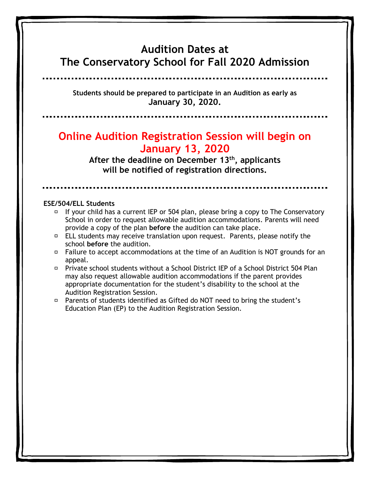#### **Audition Dates at The Conservatory School for Fall 2020 Admission**

**Students should be prepared to participate in an Audition as early as January 30, 2020.**

## **Online Audition Registration Session will begin on January 13, 2020**

**After the deadline on December 13th, applicants will be notified of registration directions.**

#### **ESE/504/ELL Students**

- $\overline{P}$  If your child has a current IEP or 504 plan, please bring a copy to The Conservatory School in order to request allowable audition accommodations. Parents will need provide a copy of the plan **before** the audition can take place.
- $\Box$  ELL students may receive translation upon request. Parents, please notify the school **before** the audition.
- $\Box$  Failure to accept accommodations at the time of an Audition is NOT grounds for an appeal.
- Private school students without a School District IEP of a School District 504 Plan may also request allowable audition accommodations if the parent provides appropriate documentation for the student's disability to the school at the Audition Registration Session.
- Parents of students identified as Gifted do NOT need to bring the student's Education Plan (EP) to the Audition Registration Session.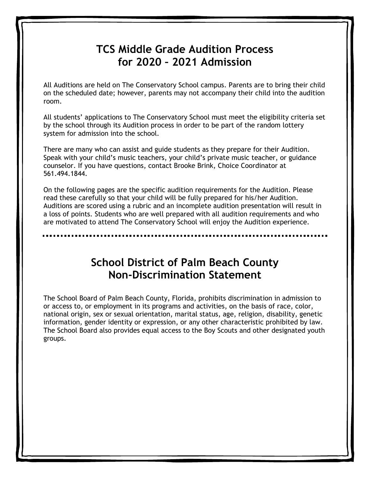## **TCS Middle Grade Audition Process for 2020 – 2021 Admission**

All Auditions are held on The Conservatory School campus. Parents are to bring their child on the scheduled date; however, parents may not accompany their child into the audition room.

All students' applications to The Conservatory School must meet the eligibility criteria set by the school through its Audition process in order to be part of the random lottery system for admission into the school.

There are many who can assist and guide students as they prepare for their Audition. Speak with your child's music teachers, your child's private music teacher, or guidance counselor. If you have questions, contact Brooke Brink, Choice Coordinator at 561.494.1844.

On the following pages are the specific audition requirements for the Audition. Please read these carefully so that your child will be fully prepared for his/her Audition. Auditions are scored using a rubric and an incomplete audition presentation will result in a loss of points. Students who are well prepared with all audition requirements and who are motivated to attend The Conservatory School will enjoy the Audition experience.

> **School District of Palm Beach County Non-Discrimination Statement**

The School Board of Palm Beach County, Florida, prohibits discrimination in admission to or access to, or employment in its programs and activities, on the basis of race, color, national origin, sex or sexual orientation, marital status, age, religion, disability, genetic information, gender identity or expression, or any other characteristic prohibited by law. The School Board also provides equal access to the Boy Scouts and other designated youth groups.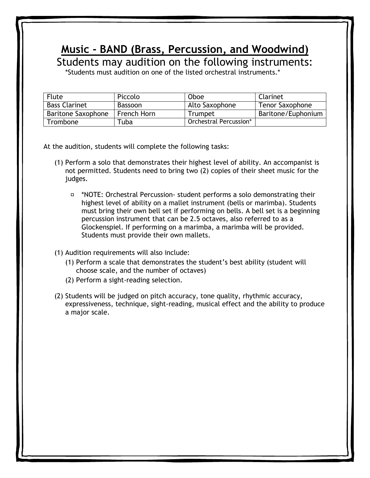## **Music - BAND (Brass, Percussion, and Woodwind)**

Students may audition on the following instruments:

\*Students must audition on one of the listed orchestral instruments.\*

| <b>Flute</b>         | Piccolo     | Oboe                   | Clarinet               |
|----------------------|-------------|------------------------|------------------------|
| <b>Bass Clarinet</b> | Bassoon     | Alto Saxophone         | <b>Tenor Saxophone</b> |
| Baritone Saxophone   | French Horn | Trumpet                | Baritone/Euphonium     |
| Trombone             | Fuba        | Orchestral Percussion* |                        |

At the audition, students will complete the following tasks:

- (1) Perform a solo that demonstrates their highest level of ability. An accompanist is not permitted. Students need to bring two (2) copies of their sheet music for the judges.
	- \*NOTE: Orchestral Percussion- student performs a solo demonstrating their highest level of ability on a mallet instrument (bells or marimba). Students must bring their own bell set if performing on bells. A bell set is a beginning percussion instrument that can be 2.5 octaves, also referred to as a Glockenspiel. If performing on a marimba, a marimba will be provided. Students must provide their own mallets.
- (1) Audition requirements will also include:
	- (1) Perform a scale that demonstrates the student's best ability (student will choose scale, and the number of octaves)
	- (2) Perform a sight-reading selection.
- (2) Students will be judged on pitch accuracy, tone quality, rhythmic accuracy, expressiveness, technique, sight-reading, musical effect and the ability to produce a major scale.